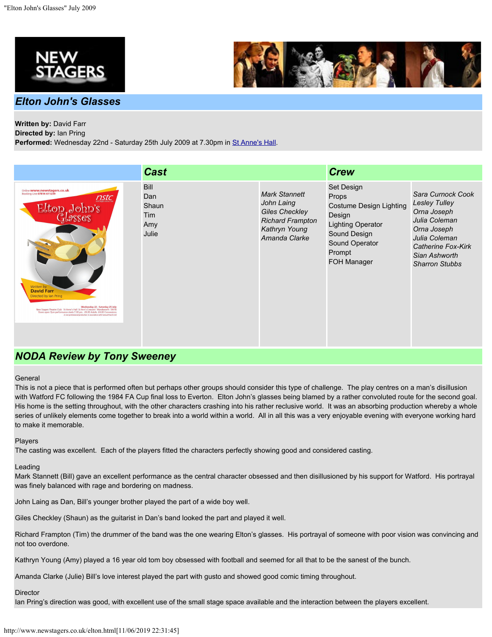





# **Written by:** David Farr

**Directed by:** Ian Pring Performed: Wednesday 22nd - Saturday 25th July 2009 at 7.30pm in [St Anne's Hall](http://www.newstagers.co.uk/directions.html).

|                                                                                                                                                                                                                                                                                                                                                                                                                                          | <b>Cast</b>                                        |                                                                                                                          | <b>Crew</b>                                                                                                                                                                 |                                                                                                                                                                           |
|------------------------------------------------------------------------------------------------------------------------------------------------------------------------------------------------------------------------------------------------------------------------------------------------------------------------------------------------------------------------------------------------------------------------------------------|----------------------------------------------------|--------------------------------------------------------------------------------------------------------------------------|-----------------------------------------------------------------------------------------------------------------------------------------------------------------------------|---------------------------------------------------------------------------------------------------------------------------------------------------------------------------|
| Online www.newstagers.co.uk<br>Booking Line 07814 611239<br>nstc<br>$E_{\rm stop, e}$ John's<br>Glasses<br>Written by<br><b>David Farr</b><br>Directed by Ian Pring<br>Wednesday 22 - Saturday 25 July<br>New Stagers Theatre Club St Anne's Hall St Ann's Crescent Wandsworth SW18<br>Doors open 7pm performance starts 7.30 pm. £8.00 Adults £4.00 Concessions<br>A non-professional production in association with Samuel French Ltd. | <b>Bill</b><br>Dan<br>Shaun<br>Tim<br>Amy<br>Julie | <b>Mark Stannett</b><br>John Laing<br><b>Giles Checkley</b><br><b>Richard Frampton</b><br>Kathryn Young<br>Amanda Clarke | Set Design<br><b>Props</b><br><b>Costume Design Lighting</b><br>Design<br><b>Lighting Operator</b><br>Sound Design<br><b>Sound Operator</b><br>Prompt<br><b>FOH Manager</b> | Sara Curnock Cook<br><b>Lesley Tulley</b><br>Orna Joseph<br>Julia Coleman<br>Orna Joseph<br>Julia Coleman<br>Catherine Fox-Kirk<br>Sian Ashworth<br><b>Sharron Stubbs</b> |

# *NODA Review by Tony Sweeney*

#### General

This is not a piece that is performed often but perhaps other groups should consider this type of challenge. The play centres on a man's disillusion with Watford FC following the 1984 FA Cup final loss to Everton. Elton John's glasses being blamed by a rather convoluted route for the second goal. His home is the setting throughout, with the other characters crashing into his rather reclusive world. It was an absorbing production whereby a whole series of unlikely elements come together to break into a world within a world. All in all this was a very enjoyable evening with everyone working hard to make it memorable.

#### Players

The casting was excellent. Each of the players fitted the characters perfectly showing good and considered casting.

#### Leading

Mark Stannett (Bill) gave an excellent performance as the central character obsessed and then disillusioned by his support for Watford. His portrayal was finely balanced with rage and bordering on madness.

John Laing as Dan, Bill's younger brother played the part of a wide boy well.

Giles Checkley (Shaun) as the guitarist in Dan's band looked the part and played it well.

Richard Frampton (Tim) the drummer of the band was the one wearing Elton's glasses. His portrayal of someone with poor vision was convincing and not too overdone.

Kathryn Young (Amy) played a 16 year old tom boy obsessed with football and seemed for all that to be the sanest of the bunch.

Amanda Clarke (Julie) Bill's love interest played the part with gusto and showed good comic timing throughout.

**Director** 

Ian Pring's direction was good, with excellent use of the small stage space available and the interaction between the players excellent.